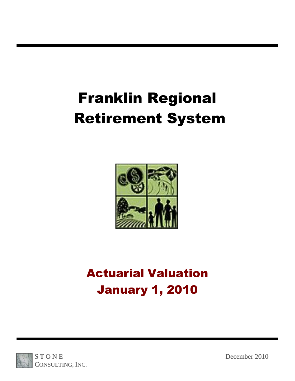# Franklin Regional Retirement System



## Actuarial Valuation January 1, 2010

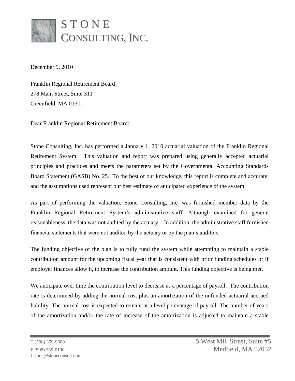

December 9, 2010

Franklin Regional Retirement Board 278 Main Street, Suite 311 Greenfield, MA 01301

Dear Franklin Regional Retirement Board:

Stone Consulting, Inc. has performed a January 1, 2010 actuarial valuation of the Franklin Regional Retirement System. This valuation and report was prepared using generally accepted actuarial principles and practices and meets the parameters set by the Governmental Accounting Standards Board Statement (GASB) No. 25. To the best of our knowledge, this report is complete and accurate, and the assumptions used represent our best estimate of anticipated experience of the system.

As part of performing the valuation, Stone Consulting, Inc. was furnished member data by the Franklin Regional Retirement System's administrative staff. Although examined for general reasonableness, the data was not audited by the actuary. In addition, the administrative staff furnished financial statements that were not audited by the actuary or by the plan's auditors.

The funding objective of the plan is to fully fund the system while attempting to maintain a stable contribution amount for the upcoming fiscal year that is consistent with prior funding schedules or if employer finances allow it, to increase the contribution amount. This funding objective is being met.

We anticipate over time the contribution level to decrease as a percentage of payroll. The contribution rate is determined by adding the normal cost plus an amortization of the unfunded actuarial accrued liability. The normal cost is expected to remain at a level percentage of payroll. The number of years of the amortization and/or the rate of increase of the amortization is adjusted to maintain a stable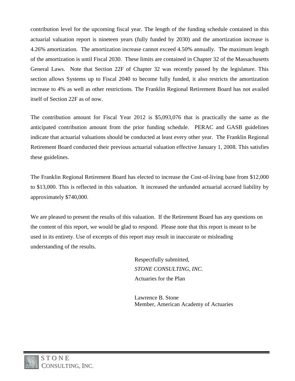contribution level for the upcoming fiscal year. The length of the funding schedule contained in this actuarial valuation report is nineteen years (fully funded by 2030) and the amortization increase is 4.26% amortization. The amortization increase cannot exceed 4.50% annually. The maximum length of the amortization is until Fiscal 2030. These limits are contained in Chapter 32 of the Massachusetts General Laws. Note that Section 22F of Chapter 32 was recently passed by the legislature. This section allows Systems up to Fiscal 2040 to become fully funded, it also restricts the amortization increase to 4% as well as other restrictions. The Franklin Regional Retirement Board has not availed itself of Section 22F as of now.

The contribution amount for Fiscal Year 2012 is \$5,093,076 that is practically the same as the anticipated contribution amount from the prior funding schedule. PERAC and GASB guidelines indicate that actuarial valuations should be conducted at least every other year. The Franklin Regional Retirement Board conducted their previous actuarial valuation effective January 1, 2008. This satisfies these guidelines.

The Franklin Regional Retirement Board has elected to increase the Cost-of-living base from \$12,000 to \$13,000. This is reflected in this valuation. It increased the unfunded actuarial accrued liability by approximately \$740,000.

We are pleased to present the results of this valuation. If the Retirement Board has any questions on the content of this report, we would be glad to respond. Please note that this report is meant to be used in its entirety. Use of excerpts of this report may result in inaccurate or misleading understanding of the results.

> Respectfully submitted, *STONE CONSULTING, INC.* Actuaries for the Plan

Lawrence B. Stone Member, American Academy of Actuaries

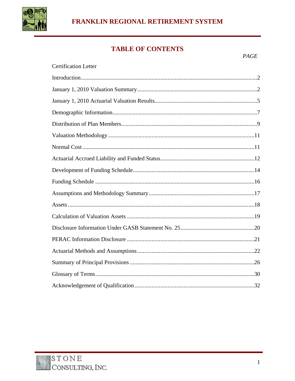

## FRANKLIN REGIONAL RETIREMENT SYSTEM

## **TABLE OF CONTENTS**

| <b>Certification Letter</b> |
|-----------------------------|
|                             |
|                             |
|                             |
|                             |
|                             |
|                             |
|                             |
|                             |
|                             |
|                             |
|                             |
|                             |
|                             |
|                             |
|                             |
|                             |
|                             |
|                             |
|                             |

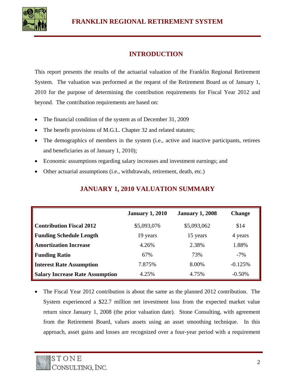

## **INTRODUCTION**

This report presents the results of the actuarial valuation of the Franklin Regional Retirement System. The valuation was performed at the request of the Retirement Board as of January 1, 2010 for the purpose of determining the contribution requirements for Fiscal Year 2012 and beyond. The contribution requirements are based on:

- The financial condition of the system as of December 31, 2009
- The benefit provisions of M.G.L. Chapter 32 and related statutes;
- The demographics of members in the system (i.e., active and inactive participants, retirees and beneficiaries as of January 1, 2010);
- Economic assumptions regarding salary increases and investment earnings; and
- Other actuarial assumptions (i.e., withdrawals, retirement, death, etc.)

|                                        | <b>January 1, 2010</b> | <b>January 1, 2008</b> | <b>Change</b> |
|----------------------------------------|------------------------|------------------------|---------------|
| <b>Contribution Fiscal 2012</b>        | \$5,093,076            | \$5,093,062            | \$14          |
| <b>Funding Schedule Length</b>         | 19 years               | 15 years               | 4 years       |
| <b>Amortization Increase</b>           | 4.26%                  | 2.38%                  | 1.88%         |
| <b>Funding Ratio</b>                   | 67%                    | 73%                    | $-7\%$        |
| <b>Interest Rate Assumption</b>        | 7.875%                 | 8.00%                  | $-0.125%$     |
| <b>Salary Increase Rate Assumption</b> | 4.25%                  | 4.75%                  | $-0.50%$      |

#### **JANUARY 1, 2010 VALUATION SUMMARY**

• The Fiscal Year 2012 contribution is about the same as the planned 2012 contribution. The System experienced a \$22.7 million net investment loss from the expected market value return since January 1, 2008 (the prior valuation date). Stone Consulting, with agreement from the Retirement Board, values assets using an asset smoothing technique. In this approach, asset gains and losses are recognized over a four-year period with a requirement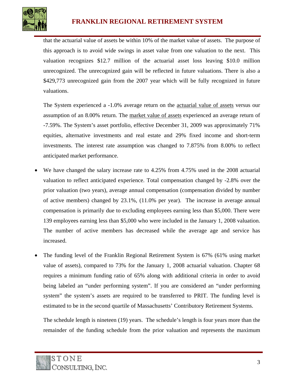

that the actuarial value of assets be within 10% of the market value of assets. The purpose of this approach is to avoid wide swings in asset value from one valuation to the next. This valuation recognizes \$12.7 million of the actuarial asset loss leaving \$10.0 million unrecognized. The unrecognized gain will be reflected in future valuations. There is also a \$429,773 unrecognized gain from the 2007 year which will be fully recognized in future valuations.

The System experienced a -1.0% average return on the actuarial value of assets versus our assumption of an 8.00% return. The market value of assets experienced an average return of -7.59%. The System's asset portfolio, effective December 31, 2009 was approximately 71% equities, alternative investments and real estate and 29% fixed income and short-term investments. The interest rate assumption was changed to 7.875% from 8.00% to reflect anticipated market performance.

- We have changed the salary increase rate to 4.25% from 4.75% used in the 2008 actuarial valuation to reflect anticipated experience. Total compensation changed by -2.8% over the prior valuation (two years), average annual compensation (compensation divided by number of active members) changed by 23.1%, (11.0% per year). The increase in average annual compensation is primarily due to excluding employees earning less than \$5,000. There were 139 employees earning less than \$5,000 who were included in the January 1, 2008 valuation. The number of active members has decreased while the average age and service has increased.
- The funding level of the Franklin Regional Retirement System is 67% (61% using market value of assets), compared to 73% for the January 1, 2008 actuarial valuation. Chapter 68 requires a minimum funding ratio of 65% along with additional criteria in order to avoid being labeled an "under performing system". If you are considered an "under performing system" the system's assets are required to be transferred to PRIT. The funding level is estimated to be in the second quartile of Massachusetts' Contributory Retirement Systems.

The schedule length is nineteen (19) years. The schedule's length is four years more than the remainder of the funding schedule from the prior valuation and represents the maximum

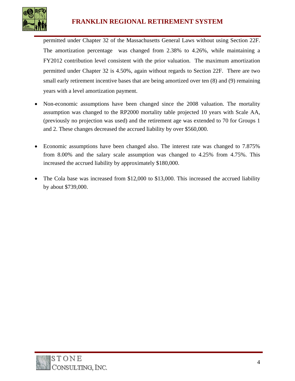

## **FRANKLIN REGIONAL RETIREMENT SYSTEM**

permitted under Chapter 32 of the Massachusetts General Laws without using Section 22F. The amortization percentage was changed from 2.38% to 4.26%, while maintaining a FY2012 contribution level consistent with the prior valuation. The maximum amortization permitted under Chapter 32 is 4.50%, again without regards to Section 22F. There are two small early retirement incentive bases that are being amortized over ten (8) and (9) remaining years with a level amortization payment.

- Non-economic assumptions have been changed since the 2008 valuation. The mortality assumption was changed to the RP2000 mortality table projected 10 years with Scale AA, (previously no projection was used) and the retirement age was extended to 70 for Groups 1 and 2. These changes decreased the accrued liability by over \$560,000.
- Economic assumptions have been changed also. The interest rate was changed to 7.875% from 8.00% and the salary scale assumption was changed to 4.25% from 4.75%. This increased the accrued liability by approximately \$180,000.
- The Cola base was increased from \$12,000 to \$13,000. This increased the accrued liability by about \$739,000.

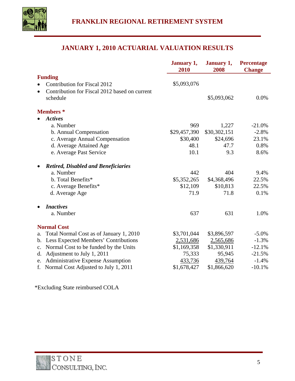

## **JANUARY 1, 2010 ACTUARIAL VALUATION RESULTS**

|                                                            | January 1,<br>2010 | January 1,<br>2008 | <b>Percentage</b><br><b>Change</b> |
|------------------------------------------------------------|--------------------|--------------------|------------------------------------|
| <b>Funding</b>                                             |                    |                    |                                    |
| <b>Contribution for Fiscal 2012</b>                        | \$5,093,076        |                    |                                    |
| Contribution for Fiscal 2012 based on current<br>$\bullet$ |                    |                    |                                    |
| schedule                                                   |                    | \$5,093,062        | 0.0%                               |
| <b>Members</b> *                                           |                    |                    |                                    |
| <b>Actives</b>                                             |                    |                    |                                    |
| a. Number                                                  | 969                | 1,227              | $-21.0%$                           |
| b. Annual Compensation                                     | \$29,457,390       | \$30,302,151       | $-2.8%$                            |
| c. Average Annual Compensation                             | \$30,400           | \$24,696           | 23.1%                              |
| d. Average Attained Age                                    | 48.1               | 47.7               | 0.8%                               |
| e. Average Past Service                                    | 10.1               | 9.3                | 8.6%                               |
| <b>Retired, Disabled and Beneficiaries</b>                 |                    |                    |                                    |
| a. Number                                                  | 442                | 404                | 9.4%                               |
| b. Total Benefits*                                         | \$5,352,265        | \$4,368,496        | 22.5%                              |
| c. Average Benefits*                                       | \$12,109           | \$10,813           | 22.5%                              |
| d. Average Age                                             | 71.9               | 71.8               | 0.1%                               |
| <b>Inactives</b>                                           |                    |                    |                                    |
| a. Number                                                  | 637                | 631                | 1.0%                               |
| <b>Normal Cost</b>                                         |                    |                    |                                    |
| Total Normal Cost as of January 1, 2010<br>a.              | \$3,701,044        | \$3,896,597        | $-5.0\%$                           |
| Less Expected Members' Contributions<br>$\mathbf{b}$ .     | 2,531,686          | 2,565,686          | $-1.3%$                            |
| Normal Cost to be funded by the Units<br>c.                | \$1,169,358        | \$1,330,911        | $-12.1%$                           |
| Adjustment to July 1, 2011<br>d.                           | 75,333             | 95,945             | $-21.5%$                           |
| <b>Administrative Expense Assumption</b><br>e.             | 433,736            | 439,764            | $-1.4%$                            |
| f. Normal Cost Adjusted to July 1, 2011                    | \$1,678,427        | \$1,866,620        | $-10.1%$                           |

\*Excluding State reimbursed COLA

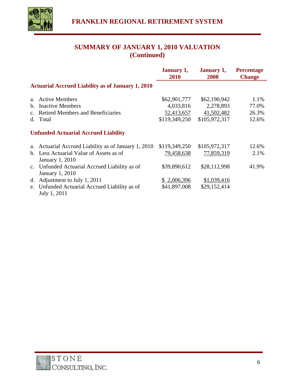

## **SUMMARY OF JANUARY 1, 2010 VALUATION (Continued)**

|                |                                                                  | <b>January 1,</b><br><b>2010</b> | <b>January 1,</b><br>2008 | <b>Percentage</b><br><b>Change</b> |
|----------------|------------------------------------------------------------------|----------------------------------|---------------------------|------------------------------------|
|                | <b>Actuarial Accrued Liability as of January 1, 2010</b>         |                                  |                           |                                    |
| $a_{-}$        | <b>Active Members</b>                                            | \$62,901,777                     | \$62,190,942              | 1.1%                               |
| $\mathbf{b}$ . | <b>Inactive Members</b>                                          | 4,033,816                        | 2,278,893                 | 77.0%                              |
|                | c. Retired Members and Beneficiaries                             | 52,413,657                       | 41,502,482                | 26.3%                              |
|                | d. Total                                                         | \$119,349,250                    | \$105,972,317             | 12.6%                              |
|                | <b>Unfunded Actuarial Accrued Liability</b>                      |                                  |                           |                                    |
| a.             | Actuarial Accrued Liability as of January 1, 2010                | \$119,349,250                    | \$105,972,317             | 12.6%                              |
|                | b. Less Actuarial Value of Assets as of<br>January 1, 2010       | 79,458,638                       | 77,859,319                | 2.1%                               |
|                | c. Unfunded Actuarial Accrued Liability as of<br>January 1, 2010 | \$39,890,612                     | \$28,112,998              | 41.9%                              |
| d.             | Adjustment to July 1, 2011                                       | \$2,006,396                      | \$1,039,416               |                                    |
|                | e. Unfunded Actuarial Accrued Liability as of<br>July 1, 2011    | \$41,897,008                     | \$29,152,414              |                                    |

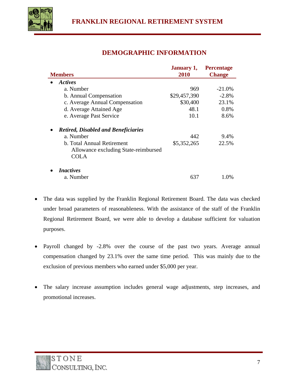

## **DEMOGRAPHIC INFORMATION**

|                                            | <b>January 1,</b> | <b>Percentage</b> |
|--------------------------------------------|-------------------|-------------------|
| <b>Members</b>                             | 2010              | <b>Change</b>     |
| Actives                                    |                   |                   |
| a. Number                                  | 969               | $-21.0\%$         |
| b. Annual Compensation                     | \$29,457,390      | $-2.8%$           |
| c. Average Annual Compensation             | \$30,400          | 23.1%             |
| d. Average Attained Age                    | 48.1              | 0.8%              |
| e. Average Past Service                    | 10.1              | 8.6%              |
| <b>Retired, Disabled and Beneficiaries</b> |                   |                   |
| a. Number                                  | 442               | 9.4%              |
| b. Total Annual Retirement                 | \$5,352,265       | 22.5%             |
| Allowance excluding State-reimbursed       |                   |                   |
| <b>COLA</b>                                |                   |                   |
| <i>Inactives</i>                           |                   |                   |
| a. Number                                  | 637               | 1.0%              |

- The data was supplied by the Franklin Regional Retirement Board. The data was checked under broad parameters of reasonableness. With the assistance of the staff of the Franklin Regional Retirement Board, we were able to develop a database sufficient for valuation purposes.
- Payroll changed by -2.8% over the course of the past two years. Average annual compensation changed by 23.1% over the same time period. This was mainly due to the exclusion of previous members who earned under \$5,000 per year.
- The salary increase assumption includes general wage adjustments, step increases, and promotional increases.

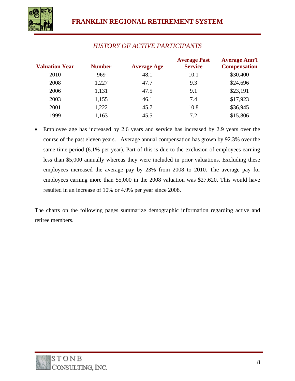

| <b>Valuation Year</b> | <b>Number</b> | <b>Average Age</b> | <b>Average Past</b><br><b>Service</b> | <b>Average Ann'l</b><br><b>Compensation</b> |
|-----------------------|---------------|--------------------|---------------------------------------|---------------------------------------------|
| 2010                  | 969           | 48.1               | 10.1                                  | \$30,400                                    |
| 2008                  | 1,227         | 47.7               | 9.3                                   | \$24,696                                    |
| 2006                  | 1,131         | 47.5               | 9.1                                   | \$23,191                                    |
| 2003                  | 1,155         | 46.1               | 7.4                                   | \$17,923                                    |
| 2001                  | 1,222         | 45.7               | 10.8                                  | \$36,945                                    |
| 1999                  | 1,163         | 45.5               | 7.2                                   | \$15,806                                    |

• Employee age has increased by 2.6 years and service has increased by 2.9 years over the course of the past eleven years. Average annual compensation has grown by 92.3% over the same time period (6.1% per year). Part of this is due to the exclusion of employees earning less than \$5,000 annually whereas they were included in prior valuations. Excluding these employees increased the average pay by 23% from 2008 to 2010. The average pay for employees earning more than \$5,000 in the 2008 valuation was \$27,620. This would have resulted in an increase of 10% or 4.9% per year since 2008.

The charts on the following pages summarize demographic information regarding active and retiree members.

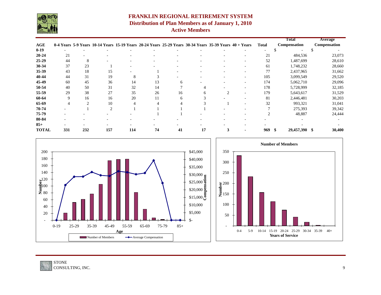

## **FRANKLIN REGIONAL RETIREMENT SYSTEM Distribution of Plan Members as of January 1, 2010 Active Members**

|              |                |                |                                                                                                        |     |                          |                          |                          |                          |                          |                | <b>Total</b>             | <b>Average</b>      |
|--------------|----------------|----------------|--------------------------------------------------------------------------------------------------------|-----|--------------------------|--------------------------|--------------------------|--------------------------|--------------------------|----------------|--------------------------|---------------------|
| <b>AGE</b>   |                |                | 0-4 Years 5-9 Years 10-14 Years 15-19 Years 20-24 Years 25-29 Years 30-34 Years 35-39 Years 40 + Years |     |                          |                          |                          |                          |                          | <b>Total</b>   | Compensation             | <b>Compensation</b> |
| $0-19$       |                |                |                                                                                                        |     |                          |                          |                          |                          |                          |                | $\overline{\phantom{a}}$ | \$                  |
| $20 - 24$    | 21             |                |                                                                                                        |     | $\overline{\phantom{0}}$ | $\qquad \qquad -$        |                          | $\overline{\phantom{a}}$ | $\overline{\phantom{a}}$ | 21             | 484,536                  | 23,073              |
| $25-29$      | 44             | 8              |                                                                                                        |     |                          | $\overline{\phantom{0}}$ |                          | $\overline{\phantom{0}}$ | $\overline{\phantom{a}}$ | 52             | 1,487,699                | 28,610              |
| 30-34        | 37             | 23             |                                                                                                        |     |                          | $\overline{\phantom{0}}$ |                          | $\overline{\phantom{0}}$ | $\overline{\phantom{a}}$ | 61             | 1,748,232                | 28,660              |
| 35-39        | 43             | 18             | 15                                                                                                     |     |                          | $\overline{\phantom{0}}$ | $\overline{\phantom{0}}$ | $\overline{\phantom{a}}$ | $\overline{\phantom{a}}$ | 77             | 2,437,965                | 31,662              |
| 40-44        | 44             | 31             | 19                                                                                                     | 8   | 3                        |                          |                          |                          | $\overline{\phantom{a}}$ | 105            | 3,099,549                | 29,520              |
| 45-49        | 60             | 45             | 36                                                                                                     | 14  | 13                       | 6                        |                          |                          | $\overline{\phantom{a}}$ | 174            | 5,062,710                | 29,096              |
| 50-54        | 40             | 50             | 31                                                                                                     | 32  | 14                       |                          | 4                        |                          | $\overline{\phantom{a}}$ | 178            | 5,728,999                | 32,185              |
| 55-59        | 29             | 38             | 27                                                                                                     | 35  | 26                       | 16                       | 6                        | 2                        | $\sim$                   | 179            | 5,643,617                | 31,529              |
| 60-64        | 9              | 16             | 16                                                                                                     | 20  | 11                       | 6                        |                          |                          | $\overline{\phantom{a}}$ | 81             | 2,446,481                | 30,203              |
| 65-69        | $\overline{4}$ | $\overline{2}$ | 10                                                                                                     |     | 4                        |                          |                          |                          | $\overline{\phantom{a}}$ | 32             | 993,321                  | 31,041              |
| 70-74        |                |                | $\overline{2}$                                                                                         |     |                          |                          |                          |                          | $\qquad \qquad$          |                | 275,393                  | 39,342              |
| 75-79        |                |                |                                                                                                        |     |                          |                          |                          |                          | $\overline{\phantom{a}}$ | $\overline{2}$ | 48,887                   | 24,444              |
| 80-84        |                |                |                                                                                                        |     |                          |                          |                          |                          | $\overline{\phantom{0}}$ |                |                          |                     |
| $85+$        |                |                |                                                                                                        |     |                          |                          |                          |                          |                          |                |                          |                     |
| <b>TOTAL</b> | 331            | 232            | 157                                                                                                    | 114 | 74                       | 41                       | 17                       | $\mathbf{3}$             | $\blacksquare$           | 969            | 29,457,390 \$<br>- \$    | 30,400              |

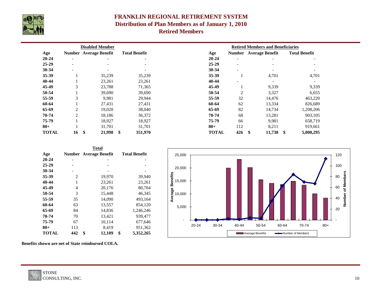

## **FRANKLIN REGIONAL RETIREMENT SYSTEM Distribution of Plan Members as of January 1, 2010 Retired Members**

| <b>Disabled Member</b> |                               |                          |                          | <b>Retired Members and Beneficiaries</b> |                          |                               |                                |  |  |
|------------------------|-------------------------------|--------------------------|--------------------------|------------------------------------------|--------------------------|-------------------------------|--------------------------------|--|--|
| Age                    | <b>Number Average Benefit</b> |                          | <b>Total Benefit</b>     | Age                                      |                          | <b>Number</b> Average Benefit | <b>Total Benefit</b>           |  |  |
| $20 - 24$              | $\overline{\phantom{a}}$      | $\overline{\phantom{a}}$ | $\overline{\phantom{a}}$ | $20 - 24$                                | $\overline{\phantom{a}}$ |                               |                                |  |  |
| 25-29                  | $\overline{\phantom{a}}$      | $\overline{\phantom{0}}$ |                          | $25-29$                                  | $\overline{\phantom{a}}$ |                               |                                |  |  |
| 30-34                  | $\overline{a}$                | $\overline{\phantom{a}}$ | $\overline{\phantom{a}}$ | $30 - 34$                                | $\overline{\phantom{a}}$ | $\overline{\phantom{0}}$      |                                |  |  |
| 35-39                  |                               | 35,239                   | 35,239                   | $35 - 39$                                |                          | 4,701                         | 4,701                          |  |  |
| 40-44                  |                               | 23,261                   | 23,261                   | 40-44                                    | $\overline{\phantom{a}}$ |                               |                                |  |  |
| 45-49                  | 3                             | 23,788                   | 71,365                   | 45-49                                    |                          | 9,339                         | 9,339                          |  |  |
| 50-54                  |                               | 39,690                   | 39,690                   | 50-54                                    | $\overline{2}$           | 3,327                         | 6,655                          |  |  |
| 55-59                  | 3                             | 9,981                    | 29,944                   | 55-59                                    | 32                       | 14,476                        | 463,220                        |  |  |
| 60-64                  |                               | 27,431                   | 27,431                   | 60-64                                    | 62                       | 13,334                        | 826,689                        |  |  |
| 65-69                  | $\overline{2}$                | 19,020                   | 38,040                   | 65-69                                    | 82                       | 14,734                        | 1,208,206                      |  |  |
| 70-74                  | $\overline{2}$                | 18,186                   | 36,372                   | 70-74                                    | 68                       | 13,281                        | 903,105                        |  |  |
| 75-79                  |                               | 18,927                   | 18,927                   | 75-79                                    | 66                       | 9,981                         | 658,719                        |  |  |
| $80 +$                 |                               | 31,701                   | 31,701                   | $80 +$                                   | 112                      | 8,211                         | 919,661                        |  |  |
| <b>TOTAL</b>           | \$<br>16                      | 21,998                   | \$<br>351,970            | <b>TOTAL</b>                             | 426                      | \$<br>11,738                  | $\boldsymbol{\$}$<br>5,000,295 |  |  |

|              |                | <b>Total</b>                  |                      |  |
|--------------|----------------|-------------------------------|----------------------|--|
| Age          |                | <b>Number Average Benefit</b> | <b>Total Benefit</b> |  |
| $20 - 24$    |                |                               |                      |  |
| $25 - 29$    |                |                               |                      |  |
| 30-34        |                |                               |                      |  |
| 35-39        | $\overline{2}$ | 19,970                        | 39,940               |  |
| 40-44        | $\mathbf{1}$   | 23,261                        | 23,261               |  |
| 45-49        | $\overline{4}$ | 20,176                        | 80,704               |  |
| 50-54        | 3              | 15,448                        | 46,345               |  |
| 55-59        | 35             | 14,090                        | 493,164              |  |
| 60-64        | 63             | 13,557                        | 854,120              |  |
| 65-69        | 84             | 14,836                        | 1,246,246            |  |
| 70-74        | 70             | 13,421                        | 939,477              |  |
| 75-79        | 67             | 10,114                        | 677,646              |  |
| $80 +$       | 113            | 8,419                         | 951,362              |  |
| <b>TOTAL</b> | 442            | \$<br>12,109                  | \$<br>5,352,265      |  |



**Benefits shown are net of State reimbursed COLA.**

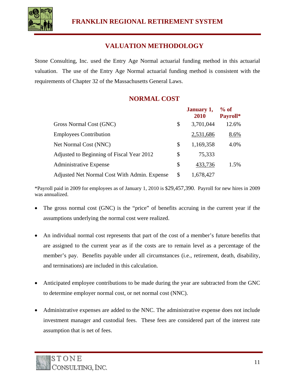

## **VALUATION METHODOLOGY**

Stone Consulting, Inc. used the Entry Age Normal actuarial funding method in this actuarial valuation. The use of the Entry Age Normal actuarial funding method is consistent with the requirements of Chapter 32 of the Massachusetts General Laws.

## **NORMAL COST**

|                                              | January 1,<br>2010 | $%$ of<br>Payroll* |
|----------------------------------------------|--------------------|--------------------|
| Gross Normal Cost (GNC)                      | \$<br>3,701,044    | 12.6%              |
| <b>Employees Contribution</b>                | 2,531,686          | 8.6%               |
| Net Normal Cost (NNC)                        | \$<br>1,169,358    | 4.0%               |
| Adjusted to Beginning of Fiscal Year 2012    | \$<br>75,333       |                    |
| <b>Administrative Expense</b>                | \$<br>433,736      | 1.5%               |
| Adjusted Net Normal Cost With Admin. Expense | \$<br>1,678,427    |                    |

\*Payroll paid in 2009 for employees as of January 1, 2010 is \$29,457,390. Payroll for new hires in 2009 was annualized.

- The gross normal cost (GNC) is the "price" of benefits accruing in the current year if the assumptions underlying the normal cost were realized.
- An individual normal cost represents that part of the cost of a member's future benefits that are assigned to the current year as if the costs are to remain level as a percentage of the member's pay. Benefits payable under all circumstances (i.e., retirement, death, disability, and terminations) are included in this calculation.
- Anticipated employee contributions to be made during the year are subtracted from the GNC to determine employer normal cost, or net normal cost (NNC).
- Administrative expenses are added to the NNC. The administrative expense does not include investment manager and custodial fees. These fees are considered part of the interest rate assumption that is net of fees.

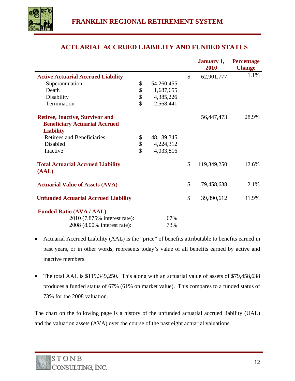

## **ACTUARIAL ACCRUED LIABILITY AND FUNDED STATUS**

|                                             |                  | January 1,        | <b>Percentage</b> |
|---------------------------------------------|------------------|-------------------|-------------------|
|                                             |                  | 2010              | <b>Change</b>     |
| <b>Active Actuarial Accrued Liability</b>   |                  | \$<br>62,901,777  | 1.1%              |
| Superannuation                              | \$<br>54,260,455 |                   |                   |
| Death                                       | \$<br>1,687,655  |                   |                   |
| Disability                                  | \$<br>4,385,226  |                   |                   |
| Termination                                 | \$<br>2,568,441  |                   |                   |
| <b>Retiree, Inactive, Survivor and</b>      |                  | <u>56,447,473</u> | 28.9%             |
| <b>Beneficiary Actuarial Accrued</b>        |                  |                   |                   |
| <b>Liability</b>                            |                  |                   |                   |
| <b>Retirees and Beneficiaries</b>           | \$<br>48,189,345 |                   |                   |
| Disabled                                    | \$<br>4,224,312  |                   |                   |
| Inactive                                    | \$<br>4,033,816  |                   |                   |
| <b>Total Actuarial Accrued Liability</b>    |                  | \$<br>119,349,250 | 12.6%             |
| (AAL)                                       |                  |                   |                   |
| <b>Actuarial Value of Assets (AVA)</b>      |                  | \$<br>79,458,638  | 2.1%              |
| <b>Unfunded Actuarial Accrued Liability</b> |                  | \$<br>39,890,612  | 41.9%             |
| <b>Funded Ratio (AVA / AAL)</b>             |                  |                   |                   |
| 2010 (7.875% interest rate):                | 67%              |                   |                   |
| 2008 (8.00% interest rate):                 | 73%              |                   |                   |
|                                             |                  |                   |                   |

- Actuarial Accrued Liability (AAL) is the "price" of benefits attributable to benefits earned in past years, or in other words, represents today's value of all benefits earned by active and inactive members.
- The total AAL is \$119,349,250. This along with an actuarial value of assets of \$79,458,638 produces a funded status of 67% (61% on market value). This compares to a funded status of 73% for the 2008 valuation.

The chart on the following page is a history of the unfunded actuarial accrued liability (UAL) and the valuation assets (AVA) over the course of the past eight actuarial valuations.

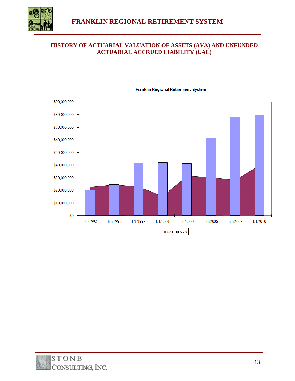

#### **HISTORY OF ACTUARIAL VALUATION OF ASSETS (AVA) AND UNFUNDED ACTUARIAL ACCRUED LIABILITY (UAL)**



#### **Franklin Regional Retirement System**

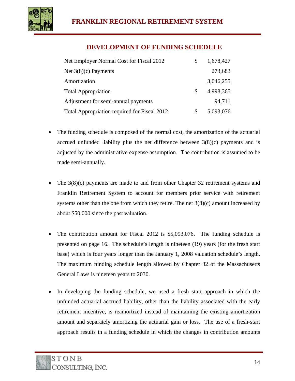

## **DEVELOPMENT OF FUNDING SCHEDULE**

| Net Employer Normal Cost for Fiscal 2012     | S  | 1,678,427 |
|----------------------------------------------|----|-----------|
| Net $3(8)(c)$ Payments                       |    | 273,683   |
| Amortization                                 |    | 3,046,255 |
| <b>Total Appropriation</b>                   | S. | 4,998,365 |
| Adjustment for semi-annual payments          |    | 94,711    |
| Total Appropriation required for Fiscal 2012 | S  | 5,093,076 |

- The funding schedule is composed of the normal cost, the amortization of the actuarial accrued unfunded liability plus the net difference between  $3(8)(c)$  payments and is adjusted by the administrative expense assumption. The contribution is assumed to be made semi-annually.
- The 3(8)(c) payments are made to and from other Chapter 32 retirement systems and Franklin Retirement System to account for members prior service with retirement systems other than the one from which they retire. The net  $3(8)(c)$  amount increased by about \$50,000 since the past valuation.
- The contribution amount for Fiscal 2012 is \$5,093,076. The funding schedule is presented on page 16. The schedule's length is nineteen (19) years (for the fresh start base) which is four years longer than the January 1, 2008 valuation schedule's length. The maximum funding schedule length allowed by Chapter 32 of the Massachusetts General Laws is nineteen years to 2030.
- In developing the funding schedule, we used a fresh start approach in which the unfunded actuarial accrued liability, other than the liability associated with the early retirement incentive, is reamortized instead of maintaining the existing amortization amount and separately amortizing the actuarial gain or loss. The use of a fresh-start approach results in a funding schedule in which the changes in contribution amounts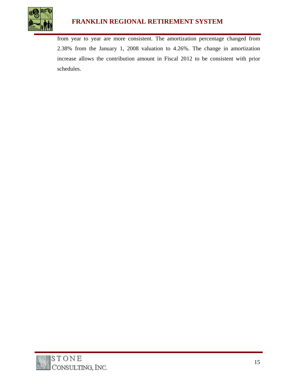

## **FRANKLIN REGIONAL RETIREMENT SYSTEM**

from year to year are more consistent. The amortization percentage changed from 2.38% from the January 1, 2008 valuation to 4.26%. The change in amortization increase allows the contribution amount in Fiscal 2012 to be consistent with prior schedules.

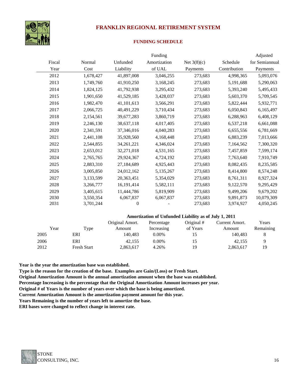

## **FRANKLIN REGIONAL RETIREMENT SYSTEM**

#### **FUNDING SCHEDULE**

|        |           |                  | Funding      |               |              | Adjusted       |
|--------|-----------|------------------|--------------|---------------|--------------|----------------|
| Fiscal | Normal    | Unfunded         | Amortization | Net $3(8)(c)$ | Schedule     | for Semiannual |
| Year   | Cost      | Liability        | of UAL       | Payments      | Contribution | Payments       |
| 2012   | 1,678,427 | 41,897,008       | 3,046,255    | 273,683       | 4,998,365    | 5,093,076      |
| 2013   | 1,749,760 | 41,910,250       | 3,168,245    | 273,683       | 5,191,688    | 5,290,063      |
| 2014   | 1,824,125 | 41,792,938       | 3,295,432    | 273,683       | 5,393,240    | 5,495,433      |
| 2015   | 1,901,650 | 41,529,185       | 3,428,037    | 273,683       | 5,603,370    | 5,709,545      |
| 2016   | 1,982,470 | 41,101,613       | 3,566,291    | 273,683       | 5,822,444    | 5,932,771      |
| 2017   | 2,066,725 | 40,491,229       | 3,710,434    | 273,683       | 6,050,843    | 6,165,497      |
| 2018   | 2,154,561 | 39,677,283       | 3,860,719    | 273,683       | 6,288,963    | 6,408,129      |
| 2019   | 2,246,130 | 38,637,118       | 4,017,405    | 273,683       | 6,537,218    | 6,661,088      |
| 2020   | 2,341,591 | 37,346,016       | 4,040,283    | 273,683       | 6,655,556    | 6,781,669      |
| 2021   | 2,441,108 | 35,928,560       | 4,168,448    | 273,683       | 6,883,239    | 7,013,666      |
| 2022   | 2,544,855 | 34, 261, 221     | 4,346,024    | 273,683       | 7,164,562    | 7,300,320      |
| 2023   | 2,653,012 | 32,271,018       | 4,531,165    | 273,683       | 7,457,859    | 7,599,174      |
| 2024   | 2,765,765 | 29,924,367       | 4,724,192    | 273,683       | 7,763,640    | 7,910,749      |
| 2025   | 2,883,310 | 27,184,689       | 4,925,443    | 273,683       | 8,082,435    | 8,235,585      |
| 2026   | 3,005,850 | 24,012,162       | 5,135,267    | 273,683       | 8,414,800    | 8,574,248      |
| 2027   | 3,133,599 | 20,363,451       | 5,354,029    | 273,683       | 8,761,311    | 8,927,324      |
| 2028   | 3,266,777 | 16, 191, 414     | 5,582,111    | 273,683       | 9,122,570    | 9,295,429      |
| 2029   | 3,405,615 | 11,444,786       | 5,819,909    | 273,683       | 9,499,206    | 9,679,202      |
| 2030   | 3,550,354 | 6,067,837        | 6,067,837    | 273,683       | 9,891,873    | 10,079,309     |
| 2031   | 3,701,244 | $\boldsymbol{0}$ |              | 273,683       | 3,974,927    | 4,050,245      |

#### **Amortization of Unfunded Liability as of July 1, 2011**

|      |                    | Original Amort. | Percentage | Original # | Current Amort. | Years     |
|------|--------------------|-----------------|------------|------------|----------------|-----------|
| Year | Type               | Amount          | Increasing | of Years   | Amount         | Remaining |
| 2005 | ERI                | 140,483         | $0.00\%$   | 15         | 140.483        |           |
| 2006 | ERI                | 42,155          | $0.00\%$   | 15         | 42,155         |           |
| 2012 | <b>Fresh Start</b> | 2,863,617       | 4.26%      | 19         | 2,863,617      | 19        |

**Year is the year the amortization base was established.**

**Type is the reason for the creation of the base. Examples are Gain/(Loss) or Fresh Start.**

**Original Amortization Amount is the annual amortization amount when the base was established.**

**Percentage Increasing is the percentage that the Original Amortization Amount increases per year.**

**Original # of Years is the number of years over which the base is being amortized.**

**Current Amortization Amount is the amortization payment amount for this year.** 

**Years Remaining is the number of years left to amortize the base.**

**ERI bases were changed to reflect change in interest rate.**

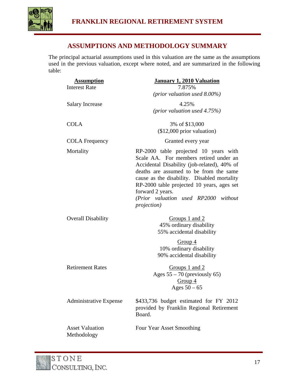

## **ASSUMPTIONS AND METHODOLOGY SUMMARY**

The principal actuarial assumptions used in this valuation are the same as the assumptions used in the previous valuation, except where noted, and are summarized in the following table:

| <b>Assumption</b><br><b>Interest Rate</b> | January 1, 2010 Valuation<br>7.875%                                                                                                                                                                                                                                                                                                                      |
|-------------------------------------------|----------------------------------------------------------------------------------------------------------------------------------------------------------------------------------------------------------------------------------------------------------------------------------------------------------------------------------------------------------|
|                                           | ( <i>prior valuation used 8.00%</i> )                                                                                                                                                                                                                                                                                                                    |
| <b>Salary Increase</b>                    | 4.25%                                                                                                                                                                                                                                                                                                                                                    |
|                                           | (prior valuation used $4.75\%$ )                                                                                                                                                                                                                                                                                                                         |
| <b>COLA</b>                               | 3% of \$13,000                                                                                                                                                                                                                                                                                                                                           |
|                                           | $($12,000$ prior valuation)                                                                                                                                                                                                                                                                                                                              |
| <b>COLA Frequency</b>                     | Granted every year                                                                                                                                                                                                                                                                                                                                       |
| Mortality                                 | RP-2000 table projected 10 years with<br>Scale AA. For members retired under an<br>Accidental Disability (job-related), 40% of<br>deaths are assumed to be from the same<br>cause as the disability. Disabled mortality<br>RP-2000 table projected 10 years, ages set<br>forward 2 years.<br>(Prior valuation used RP2000 without<br><i>projection</i> ) |
| <b>Overall Disability</b>                 | Groups 1 and 2<br>45% ordinary disability<br>55% accidental disability<br>Group 4<br>10% ordinary disability<br>90% accidental disability                                                                                                                                                                                                                |
| <b>Retirement Rates</b>                   | Groups 1 and 2<br>Ages $55 - 70$ (previously 65)<br>Group $4$<br>Ages $50 - 65$                                                                                                                                                                                                                                                                          |
| <b>Administrative Expense</b>             | \$433,736 budget estimated for FY 2012<br>provided by Franklin Regional Retirement<br>Board.                                                                                                                                                                                                                                                             |
| <b>Asset Valuation</b><br>Methodology     | Four Year Asset Smoothing                                                                                                                                                                                                                                                                                                                                |

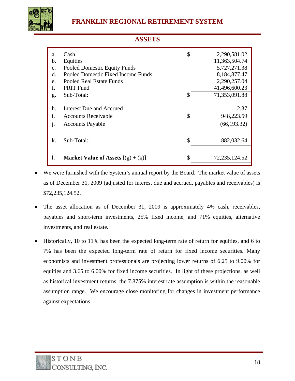

|                | <b>ASSETS</b>                               |    |               |  |  |  |
|----------------|---------------------------------------------|----|---------------|--|--|--|
| a.             | Cash                                        | \$ | 2,290,581.02  |  |  |  |
| b.             | Equities                                    |    | 11,363,504.74 |  |  |  |
| $\mathbf{C}$ . | Pooled Domestic Equity Funds                |    | 5,727,271.38  |  |  |  |
| d.             | Pooled Domestic Fixed Income Funds          |    | 8,184,877.47  |  |  |  |
| e.             | <b>Pooled Real Estate Funds</b>             |    | 2,290,257.04  |  |  |  |
| f.             | <b>PRIT Fund</b>                            |    | 41,496,600.23 |  |  |  |
| g.             | Sub-Total:                                  | S  | 71,353,091.88 |  |  |  |
| h.             | Interest Due and Accrued                    |    | 2.37          |  |  |  |
|                |                                             |    |               |  |  |  |
| i.             | <b>Accounts Receivable</b>                  | \$ | 948,223.59    |  |  |  |
| j.             | <b>Accounts Payable</b>                     |    | (66, 193.32)  |  |  |  |
|                |                                             |    |               |  |  |  |
| k.             | Sub-Total:                                  | \$ | 882,032.64    |  |  |  |
|                |                                             |    |               |  |  |  |
|                | <b>Market Value of Assets</b> $[(g) + (k)]$ | \$ | 72,235,124.52 |  |  |  |

- We were furnished with the System's annual report by the Board. The market value of assets as of December 31, 2009 (adjusted for interest due and accrued, payables and receivables) is \$72,235,124.52.
- The asset allocation as of December 31, 2009 is approximately 4% cash, receivables, payables and short-term investments, 25% fixed income, and 71% equities, alternative investments, and real estate.
- Historically, 10 to 11% has been the expected long-term rate of return for equities, and 6 to 7% has been the expected long-term rate of return for fixed income securities. Many economists and investment professionals are projecting lower returns of 6.25 to 9.00% for equities and 3.65 to 6.00% for fixed income securities. In light of these projections, as well as historical investment returns, the 7.875% interest rate assumption is within the reasonable assumption range. We encourage close monitoring for changes in investment performance against expectations.

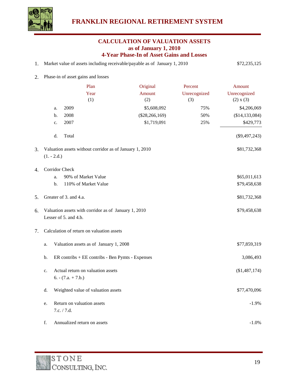

#### **CALCULATION OF VALUATION ASSETS as of January 1, 2010 4-Year Phase-In of Asset Gains and Losses**

| Market value of assets including receivable/payable as of January 1, 2010 | \$72,235,125 |
|---------------------------------------------------------------------------|--------------|
|                                                                           |              |

2. Phase-in of asset gains and losses

|    |               | Plan                                                                          | Original         | Percent      | Amount           |
|----|---------------|-------------------------------------------------------------------------------|------------------|--------------|------------------|
|    |               | Year                                                                          | Amount           | Unrecognized | Unrecognized     |
|    |               | (1)                                                                           | (2)              | (3)          | (2) x (3)        |
|    | a.            | 2009                                                                          | \$5,608,092      | 75%          | \$4,206,069      |
|    | b.            | 2008                                                                          | $(\$28,266,169)$ | 50%          | (\$14, 133, 084) |
|    | c.            | 2007                                                                          | \$1,719,091      | 25%          | \$429,773        |
|    | d.            | Total                                                                         |                  |              | $(\$9,497,243)$  |
| 3. |               | Valuation assets without corridor as of January 1, 2010                       |                  |              | \$81,732,368     |
|    | $(1. - 2.d.)$ |                                                                               |                  |              |                  |
| 4. |               | Corridor Check                                                                |                  |              |                  |
|    | a.            | 90% of Market Value                                                           |                  |              | \$65,011,613     |
|    | b.            | 110% of Market Value                                                          |                  |              | \$79,458,638     |
| 5. |               | Greater of 3. and 4.a.                                                        |                  |              | \$81,732,368     |
| 6. |               | Valuation assets with corridor as of January 1, 2010<br>Lesser of 5. and 4.b. |                  |              | \$79,458,638     |
| 7. |               | Calculation of return on valuation assets                                     |                  |              |                  |
|    | a.            | Valuation assets as of January 1, 2008                                        |                  |              | \$77,859,319     |
|    | b.            | ER contribs + EE contribs - Ben Pymts - Expenses                              |                  |              | 3,086,493        |
|    | c.            | Actual return on valuation assets                                             |                  |              | (\$1,487,174)    |
|    |               | $6. - (7.a. + 7.b.)$                                                          |                  |              |                  |
|    | d.            | Weighted value of valuation assets                                            |                  |              | \$77,470,096     |
|    | e.            | Return on valuation assets                                                    |                  |              | $-1.9%$          |
|    |               | 7.c. / 7.d.                                                                   |                  |              |                  |
|    | f.            | Annualized return on assets                                                   |                  |              | $-1.0%$          |
|    |               |                                                                               |                  |              |                  |

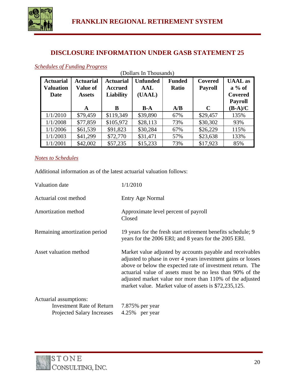

#### **DISCLOSURE INFORMATION UNDER GASB STATEMENT 25**

(Dollars In Thousands)

| <b>Actuarial</b><br><b>Valuation</b><br><b>Date</b> | <b>Actuarial</b><br><b>Value of</b><br><b>Assets</b> | <b>Actuarial</b><br><b>Accrued</b><br><b>Liability</b> | <b>Unfunded</b><br>AAL<br>(UAAL) | <b>Funded</b><br><b>Ratio</b> | Covered<br><b>Payroll</b> | <b>UAAL</b> as<br>$a\%$ of<br>Covered<br><b>Payroll</b> |
|-----------------------------------------------------|------------------------------------------------------|--------------------------------------------------------|----------------------------------|-------------------------------|---------------------------|---------------------------------------------------------|
|                                                     | A                                                    | B                                                      | $B-A$                            | A/B                           | $\mathbf C$               | $(B-A)/C$                                               |
| 1/1/2010                                            | \$79,459                                             | \$119,349                                              | \$39,890                         | 67%                           | \$29,457                  | 135%                                                    |
| 1/1/2008                                            | \$77,859                                             | \$105,972                                              | \$28,113                         | 73%                           | \$30,302                  | 93%                                                     |
| 1/1/2006                                            | \$61,539                                             | \$91,823                                               | \$30,284                         | 67%                           | \$26,229                  | 115%                                                    |
| 1/1/2003                                            | \$41,299                                             | \$72,770                                               | \$31,471                         | 57%                           | \$23,638                  | 133%                                                    |
| 1/1/2001                                            | \$42,002                                             | \$57,235                                               | \$15,233                         | 73%                           | \$17,923                  | 85%                                                     |

#### *Schedules of Funding Progress*

#### *Notes to Schedules*

Additional information as of the latest actuarial valuation follows:

| Valuation date                                                                                  | 1/1/2010                                                                                                                                                                                                                                                                                                                                                                  |
|-------------------------------------------------------------------------------------------------|---------------------------------------------------------------------------------------------------------------------------------------------------------------------------------------------------------------------------------------------------------------------------------------------------------------------------------------------------------------------------|
| Actuarial cost method                                                                           | Entry Age Normal                                                                                                                                                                                                                                                                                                                                                          |
| Amortization method                                                                             | Approximate level percent of payroll<br>Closed                                                                                                                                                                                                                                                                                                                            |
| Remaining amortization period                                                                   | 19 years for the fresh start retirement benefits schedule; 9<br>years for the 2006 ERI; and 8 years for the 2005 ERI.                                                                                                                                                                                                                                                     |
| Asset valuation method                                                                          | Market value adjusted by accounts payable and receivables<br>adjusted to phase in over 4 years investment gains or losses<br>above or below the expected rate of investment return. The<br>actuarial value of assets must be no less than 90% of the<br>adjusted market value nor more than 110% of the adjusted<br>market value. Market value of assets is \$72,235,125. |
| Actuarial assumptions:<br><b>Investment Rate of Return</b><br><b>Projected Salary Increases</b> | 7.875% per year<br>4.25% per year                                                                                                                                                                                                                                                                                                                                         |

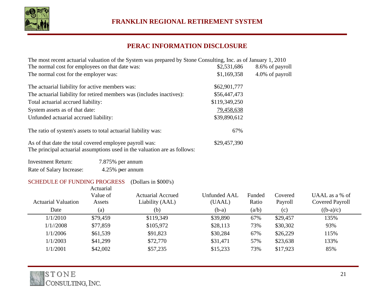

### **PERAC INFORMATION DISCLOSURE**

| The most recent actuarial valuation of the System was prepared by Stone Consulting, Inc. as of January 1, 2010 |               |                 |  |  |  |  |
|----------------------------------------------------------------------------------------------------------------|---------------|-----------------|--|--|--|--|
| The normal cost for employees on that date was:                                                                | \$2,531,686   | 8.6% of payroll |  |  |  |  |
| The normal cost for the employer was:                                                                          | \$1,169,358   | 4.0% of payroll |  |  |  |  |
| The actuarial liability for active members was:                                                                | \$62,901,777  |                 |  |  |  |  |
| The actuarial liability for retired members was (includes inactives):                                          | \$56,447,473  |                 |  |  |  |  |
| Total actuarial accrued liability:                                                                             | \$119,349,250 |                 |  |  |  |  |
| System assets as of that date:                                                                                 | 79,458,638    |                 |  |  |  |  |
| Unfunded actuarial accrued liability:                                                                          | \$39,890,612  |                 |  |  |  |  |
| The ratio of system's assets to total actuarial liability was:                                                 | 67%           |                 |  |  |  |  |
| As of that date the total covered employee payroll was:<br>$c_{11}$                                            | \$29,457,390  |                 |  |  |  |  |

The principal actuarial assumptions used in the valuation are as follows:

| <b>Investment Return:</b> | 7.875% per annum |
|---------------------------|------------------|
| Rate of Salary Increase:  | 4.25% per annum  |

#### SCHEDULE OF FUNDING PROGRESS (Dollars in \$000's)

|                            | Actuarial<br>Value of | Actuarial Accrued | Unfunded AAL | Funded | Covered  | UAAL as a $%$ of |
|----------------------------|-----------------------|-------------------|--------------|--------|----------|------------------|
| <b>Actuarial Valuation</b> | Assets                | Liability (AAL)   | (UAAL)       | Ratio  | Payroll  | Covered Payroll  |
| Date                       | (a)                   | (b)               | $(b-a)$      | (a/b)  | (c)      | $((b-a)/c)$      |
| 1/1/2010                   | \$79,459              | \$119,349         | \$39,890     | 67%    | \$29,457 | 135%             |
| 1/1//2008                  | \$77,859              | \$105,972         | \$28,113     | 73%    | \$30,302 | 93%              |
| 1/1/2006                   | \$61,539              | \$91,823          | \$30,284     | 67%    | \$26,229 | 115%             |
| 1/1/2003                   | \$41,299              | \$72,770          | \$31,471     | 57%    | \$23,638 | 133%             |
| 1/1/2001                   | \$42,002              | \$57,235          | \$15,233     | 73%    | \$17,923 | 85%              |

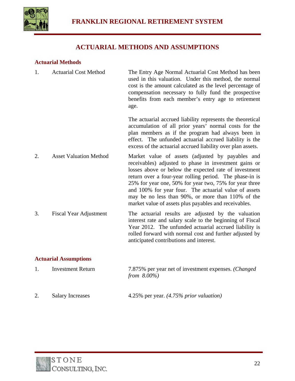

## **ACTUARIAL METHODS AND ASSUMPTIONS**

#### **Actuarial Methods**

| 1. | <b>Actuarial Cost Method</b>  | The Entry Age Normal Actuarial Cost Method has been<br>used in this valuation. Under this method, the normal<br>cost is the amount calculated as the level percentage of<br>compensation necessary to fully fund the prospective<br>benefits from each member's entry age to retirement<br>age.                                                                                                                                                                |
|----|-------------------------------|----------------------------------------------------------------------------------------------------------------------------------------------------------------------------------------------------------------------------------------------------------------------------------------------------------------------------------------------------------------------------------------------------------------------------------------------------------------|
|    |                               | The actuarial accrued liability represents the theoretical<br>accumulation of all prior years' normal costs for the<br>plan members as if the program had always been in<br>effect. The unfunded actuarial accrued liability is the<br>excess of the actuarial accrued liability over plan assets.                                                                                                                                                             |
| 2. | <b>Asset Valuation Method</b> | Market value of assets (adjusted by payables and<br>receivables) adjusted to phase in investment gains or<br>losses above or below the expected rate of investment<br>return over a four-year rolling period. The phase-in is<br>25% for year one, 50% for year two, 75% for year three<br>and 100% for year four. The actuarial value of assets<br>may be no less than 90%, or more than 110% of the<br>market value of assets plus payables and receivables. |
| 3. | Fiscal Year Adjustment        | The actuarial results are adjusted by the valuation<br>interest rate and salary scale to the beginning of Fiscal<br>Year 2012. The unfunded actuarial accrued liability is<br>rolled forward with normal cost and further adjusted by<br>anticipated contributions and interest.                                                                                                                                                                               |

#### **Actuarial Assumptions**

| Investment Return | 7.875% per year net of investment expenses. <i>(Changed</i> ) |
|-------------------|---------------------------------------------------------------|
|                   | from $8.00\%$ )                                               |

2. Salary Increases 4.25% per year. *(4.75% prior valuation)*

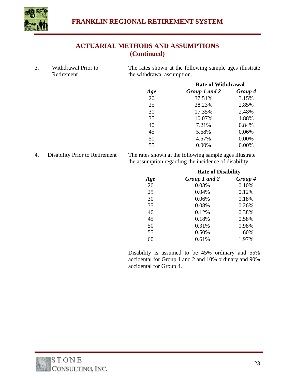

## **ACTUARIAL METHODS AND ASSUMPTIONS (Continued)**

3. Withdrawal Prior to Retirement The rates shown at the following sample ages illustrate the withdrawal assumption.

|     | <b>Rate of Withdrawal</b> |         |  |
|-----|---------------------------|---------|--|
| Age | Group 1 and 2             | Group 4 |  |
| 20  | 37.51%                    | 3.15%   |  |
| 25  | 28.23%                    | 2.85%   |  |
| 30  | 17.35%                    | 2.48%   |  |
| 35  | 10.07%                    | 1.88%   |  |
| 40  | 7.21%                     | 0.84%   |  |
| 45  | 5.68%                     | 0.06%   |  |
| 50  | 4.57%                     | 0.00%   |  |
| 55  | 0.00%                     | 0.00%   |  |

4. Disability Prior to Retirement The rates shown at the following sample ages illustrate the assumption regarding the incidence of disability:

|     | <b>Rate of Disability</b> |         |  |
|-----|---------------------------|---------|--|
| Age | Group 1 and 2             | Group 4 |  |
| 20  | 0.03%                     | 0.10%   |  |
| 25  | 0.04%                     | 0.12%   |  |
| 30  | 0.06%                     | 0.18%   |  |
| 35  | 0.08%                     | 0.26%   |  |
| 40  | 0.12%                     | 0.38%   |  |
| 45  | 0.18%                     | 0.58%   |  |
| 50  | 0.31%                     | 0.98%   |  |
| 55  | 0.50%                     | 1.60%   |  |
| 60  | 0.61%                     | 1.97%   |  |

 Disability is assumed to be 45% ordinary and 55% accidental for Group 1 and 2 and 10% ordinary and 90% accidental for Group 4.

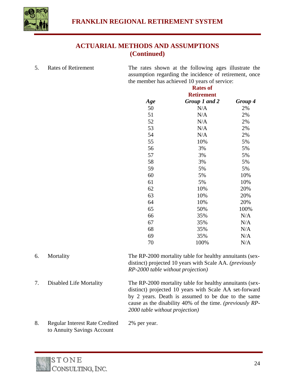

## **ACTUARIAL METHODS AND ASSUMPTIONS (Continued)**

5. Rates of Retirement The rates shown at the following ages illustrate the

assumption regarding the incidence of retirement, once the member has achieved 10 years of service:<br>**Potec of** 

|     | <b>Rates of</b>   |         |  |
|-----|-------------------|---------|--|
|     | <b>Retirement</b> |         |  |
| Age | Group 1 and 2     | Group 4 |  |
| 50  | N/A               | 2%      |  |
| 51  | N/A               | 2%      |  |
| 52  | N/A               | 2%      |  |
| 53  | N/A               | 2%      |  |
| 54  | N/A               | 2%      |  |
| 55  | 10%               | 5%      |  |
| 56  | 3%                | 5%      |  |
| 57  | 3%                | 5%      |  |
| 58  | 3%                | 5%      |  |
| 59  | 5%                | 5%      |  |
| 60  | 5%                | 10%     |  |
| 61  | 5%                | 10%     |  |
| 62  | 10%               | 20%     |  |
| 63  | 10%               | 20%     |  |
| 64  | 10%               | 20%     |  |
| 65  | 50%               | 100%    |  |
| 66  | 35%               | N/A     |  |
| 67  | 35%               | N/A     |  |
| 68  | 35%               | N/A     |  |
| 69  | 35%               | N/A     |  |
| 70  | 100%              | N/A     |  |

- 6. Mortality The RP-2000 mortality table for healthy annuitants (sexdistinct) projected 10 years with Scale AA. *(previously RP-2000 table without projection)* 7. Disabled Life Mortality The RP-2000 mortality table for healthy annuitants (sexdistinct) projected 10 years with Scale AA set-forward by 2 years. Death is assumed to be due to the same cause as the disability 40% of the time. *(previously RP-2000 table without projection)* 8. Regular Interest Rate Credited 2% per year.
- to Annuity Savings Account

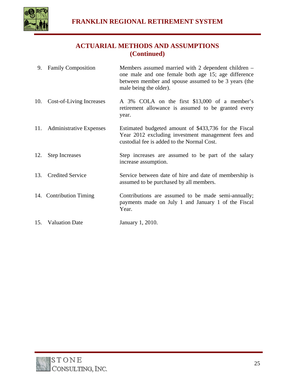

## **ACTUARIAL METHODS AND ASSUMPTIONS (Continued)**

- 9. Family Composition Members assumed married with 2 dependent children one male and one female both age 15; age difference between member and spouse assumed to be 3 years (the male being the older).
- 10. Cost-of-Living Increases A 3% COLA on the first \$13,000 of a member's retirement allowance is assumed to be granted every year.
- 11. Administrative Expenses Estimated budgeted amount of \$433,736 for the Fiscal Year 2012 excluding investment management fees and custodial fee is added to the Normal Cost.
- 12. Step Increases Step increases are assumed to be part of the salary increase assumption.
- 13. Credited Service Service between date of hire and date of membership is assumed to be purchased by all members.
- 14. Contribution Timing Contributions are assumed to be made semi-annually; payments made on July 1 and January 1 of the Fiscal Year.
- 15. Valuation Date January 1, 2010.

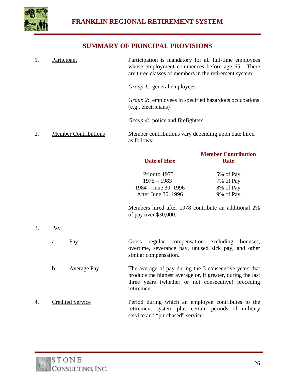

## **SUMMARY OF PRINCIPAL PROVISIONS**

1. Participant Participation is mandatory for all full-time employees whose employment commences before age 65. There are three classes of members in the retirement system: *Group 1*: general employees *Group 2*: employees in specified hazardous occupations (e.g., electricians) *Group 4*: police and firefighters 2. Member Contributions Member contributions vary depending upon date hired as follows:

|    |       |                         | <b>Date of Hire</b>                                                                                                                                                                        | <b>Member Contribution</b><br><b>Rate</b> |
|----|-------|-------------------------|--------------------------------------------------------------------------------------------------------------------------------------------------------------------------------------------|-------------------------------------------|
|    |       |                         | Prior to 1975                                                                                                                                                                              | 5% of Pay                                 |
|    |       |                         | $1975 - 1983$                                                                                                                                                                              | 7% of Pay                                 |
|    |       |                         | $1984 - June 30, 1996$                                                                                                                                                                     | 8% of Pay                                 |
|    |       |                         | After June 30, 1996                                                                                                                                                                        | 9% of Pay                                 |
|    |       |                         | Members hired after 1978 contribute an additional 2%<br>of pay over \$30,000.                                                                                                              |                                           |
| 3. | $Pay$ |                         |                                                                                                                                                                                            |                                           |
|    | a.    | Pay                     | Gross regular compensation excluding<br>overtime, severance pay, unused sick pay, and other<br>similar compensation.                                                                       | bonuses,                                  |
|    | b.    | <b>Average Pay</b>      | The average of pay during the 3 consecutive years that<br>produce the highest average or, if greater, during the last<br>three years (whether or not consecutive) preceding<br>retirement. |                                           |
| 4. |       | <b>Credited Service</b> | Period during which an employee contributes to the<br>retirement system plus certain periods of military<br>service and "purchased" service.                                               |                                           |

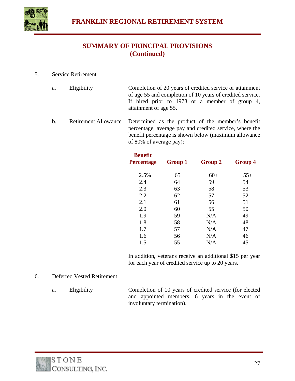

## **SUMMARY OF PRINCIPAL PROVISIONS (Continued)**

5. Service Retirement

| a. | Eligibility | Completion of 20 years of credited service or attainment  |
|----|-------------|-----------------------------------------------------------|
|    |             | of age 55 and completion of 10 years of credited service. |
|    |             | If hired prior to 1978 or a member of group 4,            |
|    |             | attainment of age 55.                                     |

 b. Retirement Allowance Determined as the product of the member's benefit percentage, average pay and credited service, where the benefit percentage is shown below (maximum allowance of 80% of average pay):

| <b>Benefit</b><br><b>Percentage</b> | <b>Group 1</b> | <b>Group 2</b> | <b>Group 4</b> |
|-------------------------------------|----------------|----------------|----------------|
| 2.5%                                | $65+$          | $60+$          | $55+$          |
| 2.4                                 | 64             | 59             | 54             |
| 2.3                                 | 63             | 58             | 53             |
| 2.2                                 | 62             | 57             | 52             |
| 2.1                                 | 61             | 56             | 51             |
| 2.0                                 | 60             | 55             | 50             |
| 1.9                                 | 59             | N/A            | 49             |
| 1.8                                 | 58             | N/A            | 48             |
| 1.7                                 | 57             | N/A            | 47             |
| 1.6                                 | 56             | N/A            | 46             |
| 1.5                                 | 55             | N/A            | 45             |

 In addition, veterans receive an additional \$15 per year for each year of credited service up to 20 years.

#### 6. Deferred Vested Retirement

 a. Eligibility Completion of 10 years of credited service (for elected and appointed members, 6 years in the event of involuntary termination).

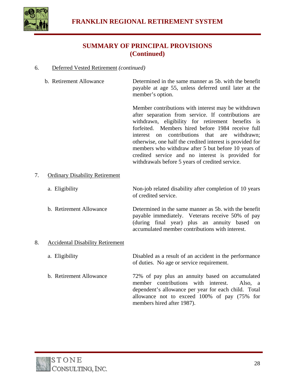

## **SUMMARY OF PRINCIPAL PROVISIONS (Continued)**

#### 6. Deferred Vested Retirement *(continued)*

 b. Retirement Allowance Determined in the same manner as 5b. with the benefit payable at age 55, unless deferred until later at the member's option.

> Member contributions with interest may be withdrawn after separation from service. If contributions are withdrawn, eligibility for retirement benefits is forfeited. Members hired before 1984 receive full interest on contributions that are withdrawn; otherwise, one half the credited interest is provided for members who withdraw after 5 but before 10 years of credited service and no interest is provided for withdrawals before 5 years of credited service.

#### 7. Ordinary Disability Retirement

a. Eligibility Non-job related disability after completion of 10 years of credited service.

 b. Retirement Allowance Determined in the same manner as 5b. with the benefit payable immediately. Veterans receive 50% of pay (during final year) plus an annuity based on accumulated member contributions with interest.

#### 8. Accidental Disability Retirement

#### a. Eligibility Disabled as a result of an accident in the performance of duties. No age or service requirement.

 b. Retirement Allowance 72% of pay plus an annuity based on accumulated member contributions with interest. Also, a dependent's allowance per year for each child. Total allowance not to exceed 100% of pay (75% for members hired after 1987).

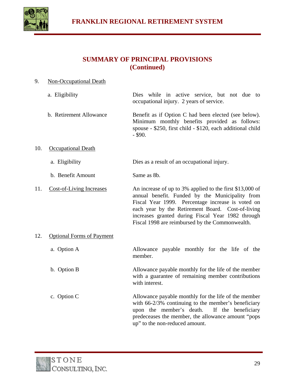

## **SUMMARY OF PRINCIPAL PROVISIONS (Continued)**

| 9.  | Non-Occupational Death           |                                                                                                                                                                                                                                                                                                                               |  |  |
|-----|----------------------------------|-------------------------------------------------------------------------------------------------------------------------------------------------------------------------------------------------------------------------------------------------------------------------------------------------------------------------------|--|--|
|     | a. Eligibility                   | Dies while in active service, but not due to<br>occupational injury. 2 years of service.                                                                                                                                                                                                                                      |  |  |
|     | b. Retirement Allowance          | Benefit as if Option C had been elected (see below).<br>Minimum monthly benefits provided as follows:<br>spouse - \$250, first child - \$120, each additional child<br>$-$ \$90.                                                                                                                                              |  |  |
| 10. | <b>Occupational Death</b>        |                                                                                                                                                                                                                                                                                                                               |  |  |
|     | a. Eligibility                   | Dies as a result of an occupational injury.                                                                                                                                                                                                                                                                                   |  |  |
|     | b. Benefit Amount                | Same as 8b.                                                                                                                                                                                                                                                                                                                   |  |  |
| 11. | <b>Cost-of-Living Increases</b>  | An increase of up to 3% applied to the first \$13,000 of<br>annual benefit. Funded by the Municipality from<br>Fiscal Year 1999. Percentage increase is voted on<br>each year by the Retirement Board. Cost-of-living<br>increases granted during Fiscal Year 1982 through<br>Fiscal 1998 are reimbursed by the Commonwealth. |  |  |
| 12. | <b>Optional Forms of Payment</b> |                                                                                                                                                                                                                                                                                                                               |  |  |
|     | a. Option A                      | Allowance payable monthly for the life of the<br>member.                                                                                                                                                                                                                                                                      |  |  |
|     | b. Option B                      | Allowance payable monthly for the life of the member<br>with a guarantee of remaining member contributions<br>with interest.                                                                                                                                                                                                  |  |  |
|     | c. Option C                      | Allowance payable monthly for the life of the member<br>with 66-2/3% continuing to the member's beneficiary<br>upon the member's death.<br>If the beneficiary<br>predeceases the member, the allowance amount "pops<br>up" to the non-reduced amount.                                                                         |  |  |

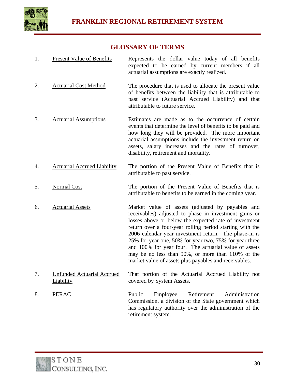

## **GLOSSARY OF TERMS**

- 1. Present Value of Benefits Represents the dollar value today of all benefits expected to be earned by current members if all actuarial assumptions are exactly realized.
- 2. Actuarial Cost Method The procedure that is used to allocate the present value of benefits between the liability that is attributable to past service (Actuarial Accrued Liability) and that attributable to future service.
- 3. Actuarial Assumptions Estimates are made as to the occurrence of certain events that determine the level of benefits to be paid and how long they will be provided. The more important actuarial assumptions include the investment return on assets, salary increases and the rates of turnover, disability, retirement and mortality.
- 4. Actuarial Accrued Liability The portion of the Present Value of Benefits that is attributable to past service.
- 5. Normal Cost The portion of the Present Value of Benefits that is attributable to benefits to be earned in the coming year.
- 6. Actuarial Assets Market value of assets (adjusted by payables and receivables) adjusted to phase in investment gains or losses above or below the expected rate of investment return over a four-year rolling period starting with the 2006 calendar year investment return. The phase-in is 25% for year one, 50% for year two, 75% for year three and 100% for year four. The actuarial value of assets may be no less than 90%, or more than 110% of the market value of assets plus payables and receivables.
- 7. Unfunded Actuarial Accrued Liability That portion of the Actuarial Accrued Liability not covered by System Assets.
- 8. PERAC Public Employee Retirement Administration Commission, a division of the State government which has regulatory authority over the administration of the retirement system.

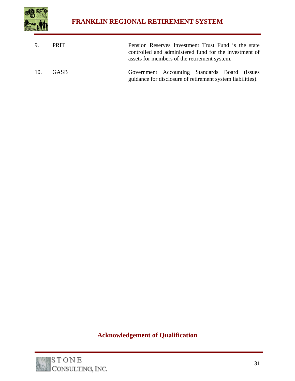

| 9.  | PRIT | Pension Reserves Investment Trust Fund is the state<br>controlled and administered fund for the investment of<br>assets for members of the retirement system. |
|-----|------|---------------------------------------------------------------------------------------------------------------------------------------------------------------|
| 10. | GASB | Government Accounting Standards Board (issues<br>guidance for disclosure of retirement system liabilities).                                                   |

## **Acknowledgement of Qualification**